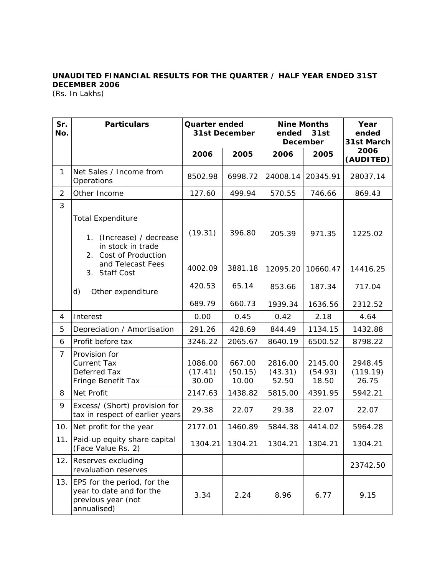## **UNAUDITED FINANCIAL RESULTS FOR THE QUARTER / HALF YEAR ENDED 31ST DECEMBER 2006**

(Rs. In Lakhs)

| Sr.<br>No.     | <b>Particulars</b>                                                                                                | Quarter ended<br><b>31st December</b> |                            | <b>Nine Months</b><br>ended<br>31st<br><b>December</b> |                             | Year<br>ended<br>31st March  |
|----------------|-------------------------------------------------------------------------------------------------------------------|---------------------------------------|----------------------------|--------------------------------------------------------|-----------------------------|------------------------------|
|                |                                                                                                                   | 2006                                  | 2005                       | 2006                                                   | 2005                        | 2006<br>(AUDITED)            |
| $\mathbf{1}$   | Net Sales / Income from<br>Operations                                                                             | 8502.98                               | 6998.72                    | 24008.14                                               | 20345.91                    | 28037.14                     |
| $\overline{2}$ | Other Income                                                                                                      | 127.60                                | 499.94                     | 570.55                                                 | 746.66                      | 869.43                       |
| 3              | <b>Total Expenditure</b><br>(Increase) / decrease<br>1 <sub>1</sub><br>in stock in trade<br>2. Cost of Production | (19.31)                               | 396.80                     | 205.39                                                 | 971.35                      | 1225.02                      |
|                | and Telecast Fees<br>3. Staff Cost                                                                                | 4002.09                               | 3881.18                    | 12095.20                                               | 10660.47                    | 14416.25                     |
|                | d)<br>Other expenditure                                                                                           | 420.53                                | 65.14                      | 853.66                                                 | 187.34                      | 717.04                       |
|                |                                                                                                                   | 689.79                                | 660.73                     | 1939.34                                                | 1636.56                     | 2312.52                      |
| 4              | Interest                                                                                                          | 0.00                                  | 0.45                       | 0.42                                                   | 2.18                        | 4.64                         |
| 5              | Depreciation / Amortisation                                                                                       | 291.26                                | 428.69                     | 844.49                                                 | 1134.15                     | 1432.88                      |
| 6              | Profit before tax                                                                                                 | 3246.22                               | 2065.67                    | 8640.19                                                | 6500.52                     | 8798.22                      |
| $\overline{7}$ | Provision for<br><b>Current Tax</b><br>Deferred Tax<br>Fringe Benefit Tax                                         | 1086.00<br>(17.41)<br>30.00           | 667.00<br>(50.15)<br>10.00 | 2816.00<br>(43.31)<br>52.50                            | 2145.00<br>(54.93)<br>18.50 | 2948.45<br>(119.19)<br>26.75 |
| 8              | Net Profit                                                                                                        | 2147.63                               | 1438.82                    | 5815.00                                                | 4391.95                     | 5942.21                      |
| 9              | Excess/ (Short) provision for<br>tax in respect of earlier years                                                  | 29.38                                 | 22.07                      | 29.38                                                  | 22.07                       | 22.07                        |
| 10.            | Net profit for the year                                                                                           | 2177.01                               | 1460.89                    | 5844.38                                                | 4414.02                     | 5964.28                      |
| 11.            | Paid-up equity share capital<br>(Face Value Rs. 2)                                                                | 1304.21                               | 1304.21                    | 1304.21                                                | 1304.21                     | 1304.21                      |
| 12.            | Reserves excluding<br>revaluation reserves                                                                        |                                       |                            |                                                        |                             | 23742.50                     |
|                | 13. EPS for the period, for the<br>year to date and for the<br>previous year (not<br>annualised)                  | 3.34                                  | 2.24                       | 8.96                                                   | 6.77                        | 9.15                         |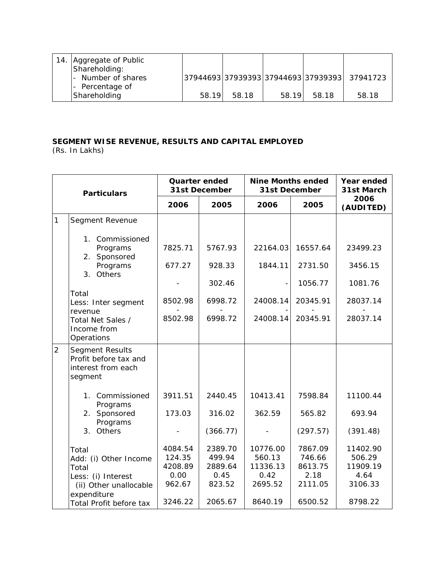| 14. | Aggregate of Public<br>Shareholding: |       |       |       |       |                                               |
|-----|--------------------------------------|-------|-------|-------|-------|-----------------------------------------------|
|     | - Number of shares                   |       |       |       |       | 37944693 37939393 37944693 37939393  37941723 |
|     | - Percentage of                      |       |       |       |       |                                               |
|     | Shareholding                         | 58.19 | 58.18 | 58.19 | 58.18 | 58.18                                         |

## **SEGMENT WISE REVENUE, RESULTS AND CAPITAL EMPLOYED**

(Rs. In Lakhs)

| <b>Particulars</b> |                                                                                                        | <b>Quarter ended</b><br>31st December          |                                                | <b>Nine Months ended</b><br>31st December         | Year ended<br>31st March                        |                                                   |
|--------------------|--------------------------------------------------------------------------------------------------------|------------------------------------------------|------------------------------------------------|---------------------------------------------------|-------------------------------------------------|---------------------------------------------------|
|                    |                                                                                                        | 2006                                           | 2005                                           | 2006                                              | 2005                                            | 2006<br>(AUDITED)                                 |
| 1                  | Segment Revenue                                                                                        |                                                |                                                |                                                   |                                                 |                                                   |
|                    | 1. Commissioned<br>Programs<br>2. Sponsored                                                            | 7825.71                                        | 5767.93                                        | 22164.03                                          | 16557.64                                        | 23499.23                                          |
|                    | Programs<br>3 <sub>1</sub><br>Others                                                                   | 677.27                                         | 928.33                                         | 1844.11                                           | 2731.50                                         | 3456.15                                           |
|                    | Total                                                                                                  |                                                | 302.46                                         |                                                   | 1056.77                                         | 1081.76                                           |
|                    | Less: Inter segment<br>revenue                                                                         | 8502.98                                        | 6998.72                                        | 24008.14                                          | 20345.91                                        | 28037.14                                          |
|                    | Total Net Sales /<br>Income from<br>Operations                                                         | 8502.98                                        | 6998.72                                        | 24008.14                                          | 20345.91                                        | 28037.14                                          |
| $\overline{2}$     | Segment Results<br>Profit before tax and<br>interest from each<br>segment                              |                                                |                                                |                                                   |                                                 |                                                   |
|                    | 1. Commissioned<br>Programs                                                                            | 3911.51                                        | 2440.45                                        | 10413.41                                          | 7598.84                                         | 11100.44                                          |
|                    | 2. Sponsored<br>Programs                                                                               | 173.03                                         | 316.02                                         | 362.59                                            | 565.82                                          | 693.94                                            |
|                    | 3 <sub>1</sub><br>Others                                                                               |                                                | (366.77)                                       |                                                   | (297.57)                                        | (391.48)                                          |
|                    | Total<br>Add: (i) Other Income<br>Total<br>Less: (i) Interest<br>(ii) Other unallocable<br>expenditure | 4084.54<br>124.35<br>4208.89<br>0.00<br>962.67 | 2389.70<br>499.94<br>2889.64<br>0.45<br>823.52 | 10776.00<br>560.13<br>11336.13<br>0.42<br>2695.52 | 7867.09<br>746.66<br>8613.75<br>2.18<br>2111.05 | 11402.90<br>506.29<br>11909.19<br>4.64<br>3106.33 |
|                    | Total Profit before tax                                                                                | 3246.22                                        | 2065.67                                        | 8640.19                                           | 6500.52                                         | 8798.22                                           |